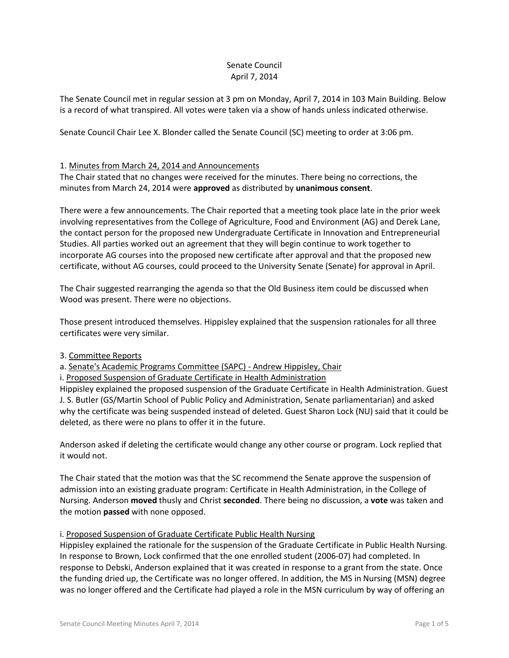### Senate Council April 7, 2014

The Senate Council met in regular session at 3 pm on Monday, April 7, 2014 in 103 Main Building. Below is a record of what transpired. All votes were taken via a show of hands unless indicated otherwise.

Senate Council Chair Lee X. Blonder called the Senate Council (SC) meeting to order at 3:06 pm.

## 1. Minutes from March 24, 2014 and Announcements

The Chair stated that no changes were received for the minutes. There being no corrections, the minutes from March 24, 2014 were **approved** as distributed by **unanimous consent**.

There were a few announcements. The Chair reported that a meeting took place late in the prior week involving representatives from the College of Agriculture, Food and Environment (AG) and Derek Lane, the contact person for the proposed new Undergraduate Certificate in Innovation and Entrepreneurial Studies. All parties worked out an agreement that they will begin continue to work together to incorporate AG courses into the proposed new certificate after approval and that the proposed new certificate, without AG courses, could proceed to the University Senate (Senate) for approval in April.

The Chair suggested rearranging the agenda so that the Old Business item could be discussed when Wood was present. There were no objections.

Those present introduced themselves. Hippisley explained that the suspension rationales for all three certificates were very similar.

## 3. Committee Reports

a. Senate's Academic Programs Committee (SAPC) - Andrew Hippisley, Chair

i. Proposed Suspension of Graduate Certificate in Health Administration

Hippisley explained the proposed suspension of the Graduate Certificate in Health Administration. Guest J. S. Butler (GS/Martin School of Public Policy and Administration, Senate parliamentarian) and asked why the certificate was being suspended instead of deleted. Guest Sharon Lock (NU) said that it could be deleted, as there were no plans to offer it in the future.

Anderson asked if deleting the certificate would change any other course or program. Lock replied that it would not.

The Chair stated that the motion was that the SC recommend the Senate approve the suspension of admission into an existing graduate program: Certificate in Health Administration, in the College of Nursing. Anderson **moved** thusly and Christ **seconded**. There being no discussion, a **vote** was taken and the motion **passed** with none opposed.

## i. Proposed Suspension of Graduate Certificate Public Health Nursing

Hippisley explained the rationale for the suspension of the Graduate Certificate in Public Health Nursing. In response to Brown, Lock confirmed that the one enrolled student (2006-07) had completed. In response to Debski, Anderson explained that it was created in response to a grant from the state. Once the funding dried up, the Certificate was no longer offered. In addition, the MS in Nursing (MSN) degree was no longer offered and the Certificate had played a role in the MSN curriculum by way of offering an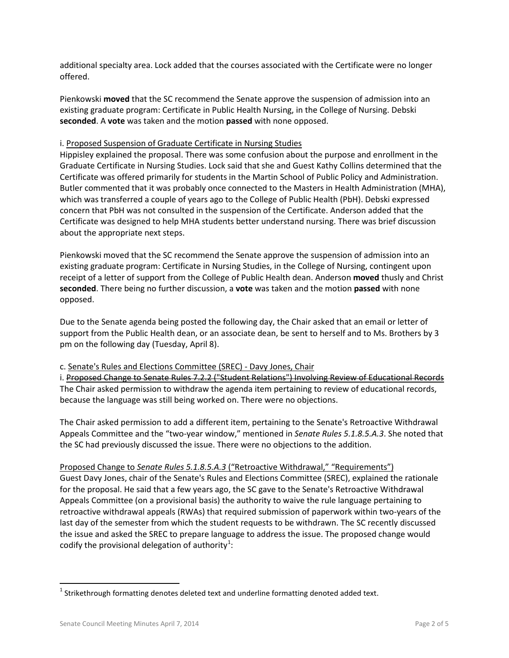additional specialty area. Lock added that the courses associated with the Certificate were no longer offered.

Pienkowski **moved** that the SC recommend the Senate approve the suspension of admission into an existing graduate program: Certificate in Public Health Nursing, in the College of Nursing. Debski **seconded**. A **vote** was taken and the motion **passed** with none opposed.

### i. Proposed Suspension of Graduate Certificate in Nursing Studies

Hippisley explained the proposal. There was some confusion about the purpose and enrollment in the Graduate Certificate in Nursing Studies. Lock said that she and Guest Kathy Collins determined that the Certificate was offered primarily for students in the Martin School of Public Policy and Administration. Butler commented that it was probably once connected to the Masters in Health Administration (MHA), which was transferred a couple of years ago to the College of Public Health (PbH). Debski expressed concern that PbH was not consulted in the suspension of the Certificate. Anderson added that the Certificate was designed to help MHA students better understand nursing. There was brief discussion about the appropriate next steps.

Pienkowski moved that the SC recommend the Senate approve the suspension of admission into an existing graduate program: Certificate in Nursing Studies, in the College of Nursing, contingent upon receipt of a letter of support from the College of Public Health dean. Anderson **moved** thusly and Christ **seconded**. There being no further discussion, a **vote** was taken and the motion **passed** with none opposed.

Due to the Senate agenda being posted the following day, the Chair asked that an email or letter of support from the Public Health dean, or an associate dean, be sent to herself and to Ms. Brothers by 3 pm on the following day (Tuesday, April 8).

### c. Senate's Rules and Elections Committee (SREC) - Davy Jones, Chair

i. Proposed Change to Senate Rules 7.2.2 ("Student Relations") Involving Review of Educational Records The Chair asked permission to withdraw the agenda item pertaining to review of educational records, because the language was still being worked on. There were no objections.

The Chair asked permission to add a different item, pertaining to the Senate's Retroactive Withdrawal Appeals Committee and the "two-year window," mentioned in *Senate Rules 5.1.8.5.A.3*. She noted that the SC had previously discussed the issue. There were no objections to the addition.

## Proposed Change to *Senate Rules 5.1.8.5.A.3* ("Retroactive Withdrawal," "Requirements")

Guest Davy Jones, chair of the Senate's Rules and Elections Committee (SREC), explained the rationale for the proposal. He said that a few years ago, the SC gave to the Senate's Retroactive Withdrawal Appeals Committee (on a provisional basis) the authority to waive the rule language pertaining to retroactive withdrawal appeals (RWAs) that required submission of paperwork within two-years of the last day of the semester from which the student requests to be withdrawn. The SC recently discussed the issue and asked the SREC to prepare language to address the issue. The proposed change would codify the provisional delegation of authority $^{1}$  $^{1}$  $^{1}$ :

<span id="page-1-0"></span> $1$  Strikethrough formatting denotes deleted text and underline formatting denoted added text.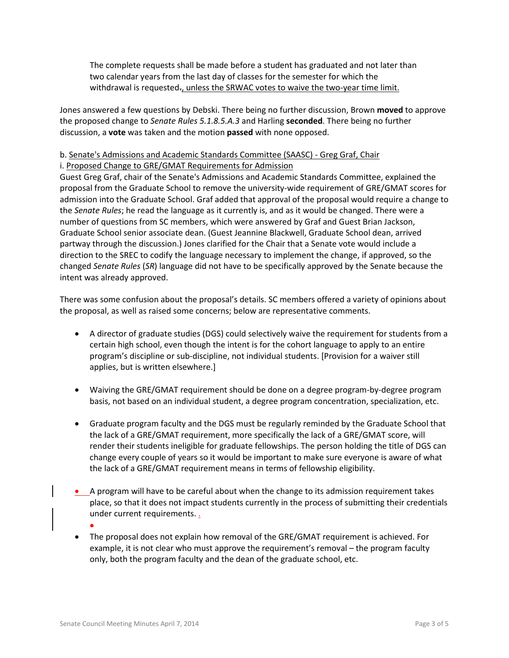The complete requests shall be made before a student has graduated and not later than two calendar years from the last day of classes for the semester for which the withdrawal is requested., unless the SRWAC votes to waive the two-year time limit.

Jones answered a few questions by Debski. There being no further discussion, Brown **moved** to approve the proposed change to *Senate Rules 5.1.8.5.A.3* and Harling **seconded**. There being no further discussion, a **vote** was taken and the motion **passed** with none opposed.

# b. Senate's Admissions and Academic Standards Committee (SAASC) - Greg Graf, Chair

## i. Proposed Change to GRE/GMAT Requirements for Admission

Guest Greg Graf, chair of the Senate's Admissions and Academic Standards Committee, explained the proposal from the Graduate School to remove the university-wide requirement of GRE/GMAT scores for admission into the Graduate School. Graf added that approval of the proposal would require a change to the *Senate Rules*; he read the language as it currently is, and as it would be changed. There were a number of questions from SC members, which were answered by Graf and Guest Brian Jackson, Graduate School senior associate dean. (Guest Jeannine Blackwell, Graduate School dean, arrived partway through the discussion.) Jones clarified for the Chair that a Senate vote would include a direction to the SREC to codify the language necessary to implement the change, if approved, so the changed *Senate Rules* (*SR*) language did not have to be specifically approved by the Senate because the intent was already approved.

There was some confusion about the proposal's details. SC members offered a variety of opinions about the proposal, as well as raised some concerns; below are representative comments.

- A director of graduate studies (DGS) could selectively waive the requirement for students from a certain high school, even though the intent is for the cohort language to apply to an entire program's discipline or sub-discipline, not individual students. [Provision for a waiver still applies, but is written elsewhere.]
- Waiving the GRE/GMAT requirement should be done on a degree program-by-degree program basis, not based on an individual student, a degree program concentration, specialization, etc.
- Graduate program faculty and the DGS must be regularly reminded by the Graduate School that the lack of a GRE/GMAT requirement, more specifically the lack of a GRE/GMAT score, will render their students ineligible for graduate fellowships. The person holding the title of DGS can change every couple of years so it would be important to make sure everyone is aware of what the lack of a GRE/GMAT requirement means in terms of fellowship eligibility.
- A program will have to be careful about when the change to its admission requirement takes place, so that it does not impact students currently in the process of submitting their credentials under current requirements.
	- •
- The proposal does not explain how removal of the GRE/GMAT requirement is achieved. For example, it is not clear who must approve the requirement's removal – the program faculty only, both the program faculty and the dean of the graduate school, etc.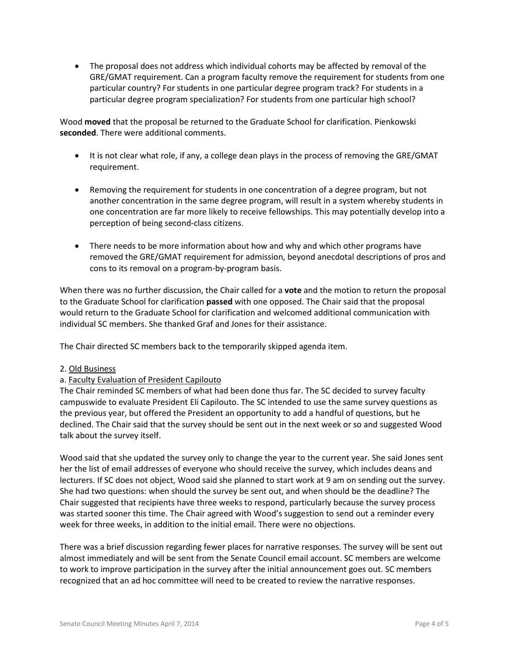• The proposal does not address which individual cohorts may be affected by removal of the GRE/GMAT requirement. Can a program faculty remove the requirement for students from one particular country? For students in one particular degree program track? For students in a particular degree program specialization? For students from one particular high school?

Wood **moved** that the proposal be returned to the Graduate School for clarification. Pienkowski **seconded**. There were additional comments.

- It is not clear what role, if any, a college dean plays in the process of removing the GRE/GMAT requirement.
- Removing the requirement for students in one concentration of a degree program, but not another concentration in the same degree program, will result in a system whereby students in one concentration are far more likely to receive fellowships. This may potentially develop into a perception of being second-class citizens.
- There needs to be more information about how and why and which other programs have removed the GRE/GMAT requirement for admission, beyond anecdotal descriptions of pros and cons to its removal on a program-by-program basis.

When there was no further discussion, the Chair called for a **vote** and the motion to return the proposal to the Graduate School for clarification **passed** with one opposed. The Chair said that the proposal would return to the Graduate School for clarification and welcomed additional communication with individual SC members. She thanked Graf and Jones for their assistance.

The Chair directed SC members back to the temporarily skipped agenda item.

### 2. Old Business

## a. Faculty Evaluation of President Capilouto

The Chair reminded SC members of what had been done thus far. The SC decided to survey faculty campuswide to evaluate President Eli Capilouto. The SC intended to use the same survey questions as the previous year, but offered the President an opportunity to add a handful of questions, but he declined. The Chair said that the survey should be sent out in the next week or so and suggested Wood talk about the survey itself.

Wood said that she updated the survey only to change the year to the current year. She said Jones sent her the list of email addresses of everyone who should receive the survey, which includes deans and lecturers. If SC does not object, Wood said she planned to start work at 9 am on sending out the survey. She had two questions: when should the survey be sent out, and when should be the deadline? The Chair suggested that recipients have three weeks to respond, particularly because the survey process was started sooner this time. The Chair agreed with Wood's suggestion to send out a reminder every week for three weeks, in addition to the initial email. There were no objections.

There was a brief discussion regarding fewer places for narrative responses. The survey will be sent out almost immediately and will be sent from the Senate Council email account. SC members are welcome to work to improve participation in the survey after the initial announcement goes out. SC members recognized that an ad hoc committee will need to be created to review the narrative responses.